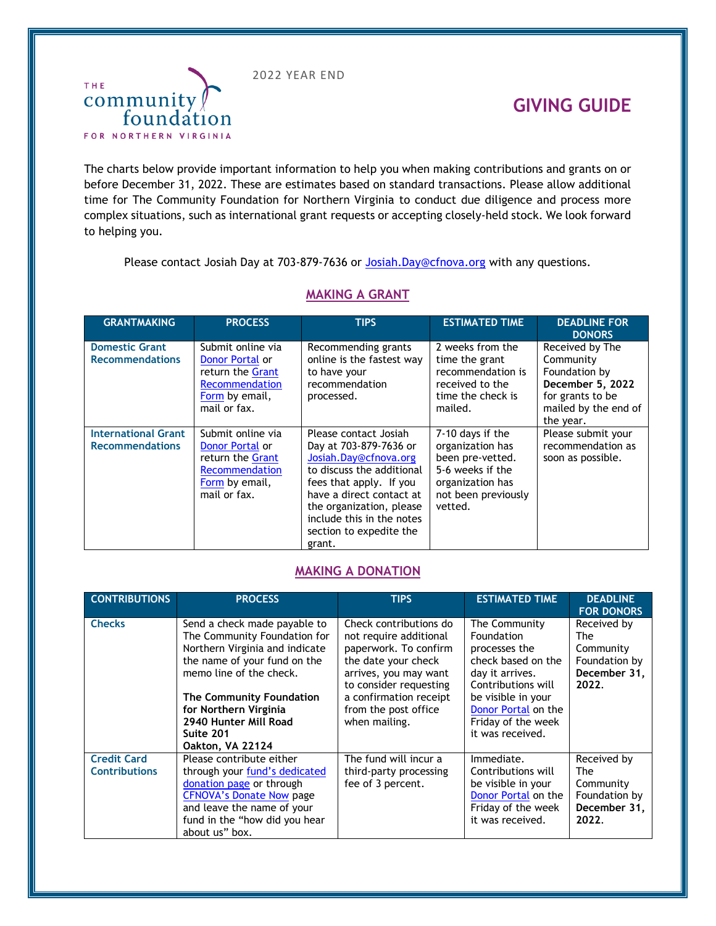2022 YEAR END



## **GIVING GUIDE**

The charts below provide important information to help you when making contributions and grants on or before December 31, 2022. These are estimates based on standard transactions. Please allow additional time for The Community Foundation for Northern Virginia to conduct due diligence and process more complex situations, such as international grant requests or accepting closely-held stock. We look forward to helping you.

Please contact Josiah Day at 703-879-7636 or [Josiah.Day@cfnova.org](mailto:Josiah.Day@cfnova.org) with any questions.

| <b>GRANTMAKING</b>                                   | <b>PROCESS</b>                                                                                               | <b>TIPS</b>                                                                                                                                                                                                                                                | <b>ESTIMATED TIME</b>                                                                                                              | <b>DEADLINE FOR</b><br><b>DONORS</b>                                                                                       |
|------------------------------------------------------|--------------------------------------------------------------------------------------------------------------|------------------------------------------------------------------------------------------------------------------------------------------------------------------------------------------------------------------------------------------------------------|------------------------------------------------------------------------------------------------------------------------------------|----------------------------------------------------------------------------------------------------------------------------|
| <b>Domestic Grant</b><br><b>Recommendations</b>      | Submit online via<br>Donor Portal or<br>return the Grant<br>Recommendation<br>Form by email,<br>mail or fax. | Recommending grants<br>online is the fastest way<br>to have your<br>recommendation<br>processed.                                                                                                                                                           | 2 weeks from the<br>time the grant<br>recommendation is<br>received to the<br>time the check is<br>mailed.                         | Received by The<br>Community<br>Foundation by<br>December 5, 2022<br>for grants to be<br>mailed by the end of<br>the year. |
| <b>International Grant</b><br><b>Recommendations</b> | Submit online via<br>Donor Portal or<br>return the Grant<br>Recommendation<br>Form by email,<br>mail or fax. | Please contact Josiah<br>Day at 703-879-7636 or<br>Josiah.Day@cfnova.org<br>to discuss the additional<br>fees that apply. If you<br>have a direct contact at<br>the organization, please<br>include this in the notes<br>section to expedite the<br>grant. | 7-10 days if the<br>organization has<br>been pre-vetted.<br>5-6 weeks if the<br>organization has<br>not been previously<br>vetted. | Please submit your<br>recommendation as<br>soon as possible.                                                               |

## **MAKING A GRANT**

## **MAKING A DONATION**

| <b>CONTRIBUTIONS</b>                       | <b>PROCESS</b>                                                                                                                                                                                                                                                                  | <b>TIPS</b>                                                                                                                                                                                                            | <b>ESTIMATED TIME</b>                                                                                                                                                                              | <b>DEADLINE</b><br><b>FOR DONORS</b>                                             |
|--------------------------------------------|---------------------------------------------------------------------------------------------------------------------------------------------------------------------------------------------------------------------------------------------------------------------------------|------------------------------------------------------------------------------------------------------------------------------------------------------------------------------------------------------------------------|----------------------------------------------------------------------------------------------------------------------------------------------------------------------------------------------------|----------------------------------------------------------------------------------|
| <b>Checks</b>                              | Send a check made payable to<br>The Community Foundation for<br>Northern Virginia and indicate<br>the name of your fund on the<br>memo line of the check.<br>The Community Foundation<br>for Northern Virginia<br>2940 Hunter Mill Road<br>Suite 201<br><b>Oakton, VA 22124</b> | Check contributions do<br>not require additional<br>paperwork. To confirm<br>the date your check<br>arrives, you may want<br>to consider requesting<br>a confirmation receipt<br>from the post office<br>when mailing. | The Community<br>Foundation<br>processes the<br>check based on the<br>day it arrives.<br>Contributions will<br>be visible in your<br>Donor Portal on the<br>Friday of the week<br>it was received. | Received by<br><b>The</b><br>Community<br>Foundation by<br>December 31,<br>2022. |
| <b>Credit Card</b><br><b>Contributions</b> | Please contribute either<br>through your fund's dedicated<br>donation page or through<br><b>CFNOVA's Donate Now page</b><br>and leave the name of your<br>fund in the "how did you hear<br>about us" box.                                                                       | The fund will incur a<br>third-party processing<br>fee of 3 percent.                                                                                                                                                   | Immediate.<br>Contributions will<br>be visible in your<br>Donor Portal on the<br>Friday of the week<br>it was received.                                                                            | Received by<br>The<br>Community<br>Foundation by<br>December 31,<br>2022.        |